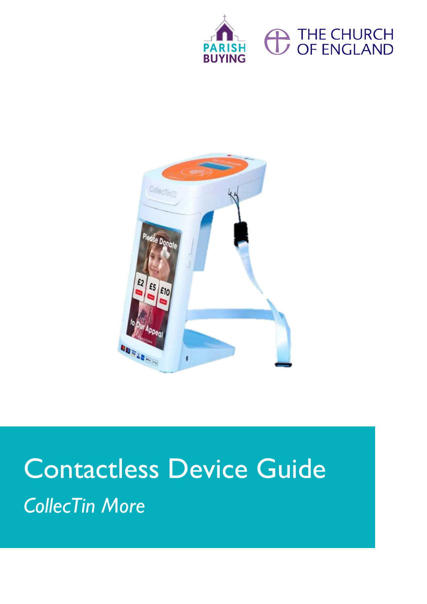





# Contactless Device Guide *CollecTin More*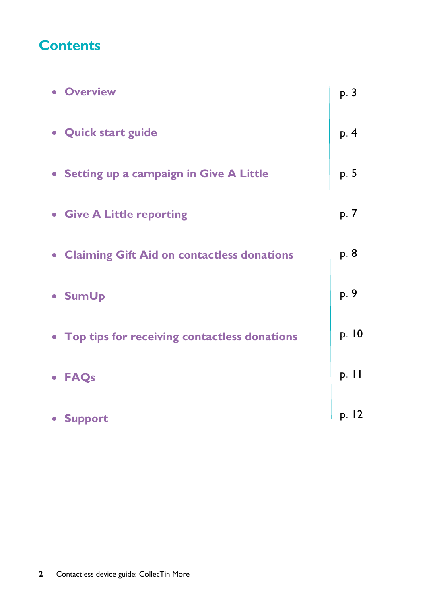### **Contents**

| <b>• Overview</b>                              | p. 3  |
|------------------------------------------------|-------|
| • Quick start guide                            | p. 4  |
| • Setting up a campaign in Give A Little       | p. 5  |
| • Give A Little reporting                      | p. 7  |
| • Claiming Gift Aid on contactless donations   | p. 8  |
| • SumUp                                        | p. 9  |
| • Top tips for receiving contactless donations | p. 10 |
| • FAQs                                         | p. 11 |
| • Support                                      | p. 12 |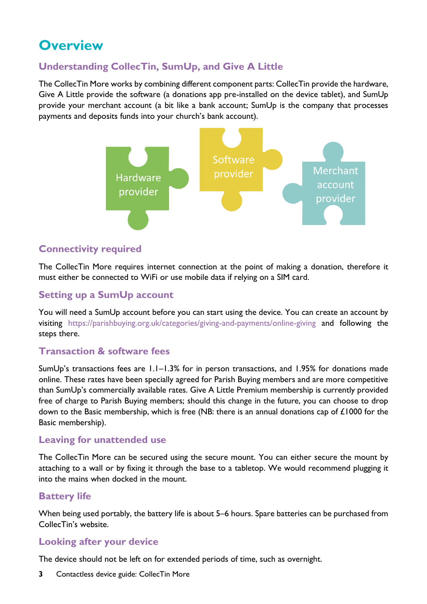## **Overview**

### **Understanding CollecTin, SumUp, and Give A Little**

The CollecTin More works by combining different component parts: CollecTin provide the hardware, Give A Little provide the software (a donations app pre-installed on the device tablet), and SumUp provide your merchant account (a bit like a bank account; SumUp is the company that processes payments and deposits funds into your church's bank account).



### **Connectivity required**

The CollecTin More requires internet connection at the point of making a donation, therefore it must either be connected to WiFi or use mobile data if relying on a SIM card.

### **Setting up a SumUp account**

You will need a SumUp account before you can start using the device. You can create an account by visiting <https://parishbuying.org.uk/categories/giving-and-payments/online-giving> and following the steps there.

### **Transaction & software fees**

SumUp's transactions fees are 1.1–1.3% for in person transactions, and 1.95% for donations made online. These rates have been specially agreed for Parish Buying members and are more competitive than SumUp's commercially available rates. Give A Little Premium membership is currently provided free of charge to Parish Buying members; should this change in the future, you can choose to drop down to the Basic membership, which is free (NB: there is an annual donations cap of £1000 for the Basic membership).

### **Leaving for unattended use**

The CollecTin More can be secured using the secure mount. You can either secure the mount by attaching to a wall or by fixing it through the base to a tabletop. We would recommend plugging it into the mains when docked in the mount.

### **Battery life**

When being used portably, the battery life is about 5–6 hours. Spare batteries can be purchased from CollecTin's website.

### **Looking after your device**

The device should not be left on for extended periods of time, such as overnight.

**3** Contactless device guide: CollecTin More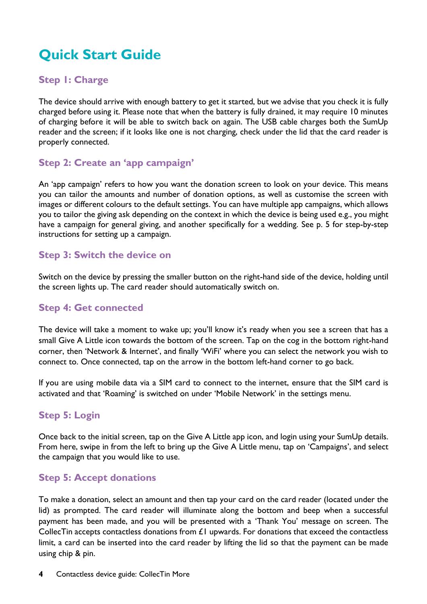# **Quick Start Guide**

### **Step 1: Charge**

The device should arrive with enough battery to get it started, but we advise that you check it is fully charged before using it. Please note that when the battery is fully drained, it may require 10 minutes of charging before it will be able to switch back on again. The USB cable charges both the SumUp reader and the screen; if it looks like one is not charging, check under the lid that the card reader is properly connected.

### **Step 2: Create an 'app campaign'**

An 'app campaign' refers to how you want the donation screen to look on your device. This means you can tailor the amounts and number of donation options, as well as customise the screen with images or different colours to the default settings. You can have multiple app campaigns, which allows you to tailor the giving ask depending on the context in which the device is being used e.g., you might have a campaign for general giving, and another specifically for a wedding. See p. 5 for step-by-step instructions for setting up a campaign.

### **Step 3: Switch the device on**

Switch on the device by pressing the smaller button on the right-hand side of the device, holding until the screen lights up. The card reader should automatically switch on.

### **Step 4: Get connected**

The device will take a moment to wake up; you'll know it's ready when you see a screen that has a small Give A Little icon towards the bottom of the screen. Tap on the cog in the bottom right-hand corner, then 'Network & Internet', and finally 'WiFi' where you can select the network you wish to connect to. Once connected, tap on the arrow in the bottom left-hand corner to go back.

If you are using mobile data via a SIM card to connect to the internet, ensure that the SIM card is activated and that 'Roaming' is switched on under 'Mobile Network' in the settings menu.

### **Step 5: Login**

Once back to the initial screen, tap on the Give A Little app icon, and login using your SumUp details. From here, swipe in from the left to bring up the Give A Little menu, tap on 'Campaigns', and select the campaign that you would like to use.

### **Step 5: Accept donations**

To make a donation, select an amount and then tap your card on the card reader (located under the lid) as prompted. The card reader will illuminate along the bottom and beep when a successful payment has been made, and you will be presented with a 'Thank You' message on screen. The CollecTin accepts contactless donations from  $E1$  upwards. For donations that exceed the contactless limit, a card can be inserted into the card reader by lifting the lid so that the payment can be made using chip & pin.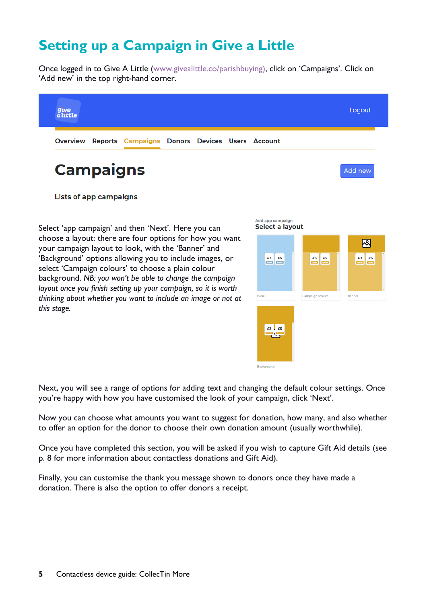# **Setting up a Campaign in Give a Little**

Once logged in to Give A Little (www[.givealittle.co/](http://www.givealittle.co/)parishbuying), click on 'Campaigns'. Click on 'Add new' in the top right-hand corner.



**Lists of app campaigns** 

Select 'app campaign' and then 'Next'. Here you can choose a layout: there are four options for how you want your campaign layout to look, with the 'Banner' and 'Background' options allowing you to include images, or select 'Campaign colours' to choose a plain colour background. *NB: you won't be able to change the campaign layout once you finish setting up your campaign, so it is worth thinking about whether you want to include an image or not at this stage.*



Next, you will see a range of options for adding text and changing the default colour settings. Once you're happy with how you have customised the look of your campaign, click 'Next'.

Now you can choose what amounts you want to suggest for donation, how many, and also whether to offer an option for the donor to choose their own donation amount (usually worthwhile).

Once you have completed this section, you will be asked if you wish to capture Gift Aid details (see p. 8 for more information about contactless donations and Gift Aid).

Finally, you can customise the thank you message shown to donors once they have made a donation. There is also the option to offer donors a receipt.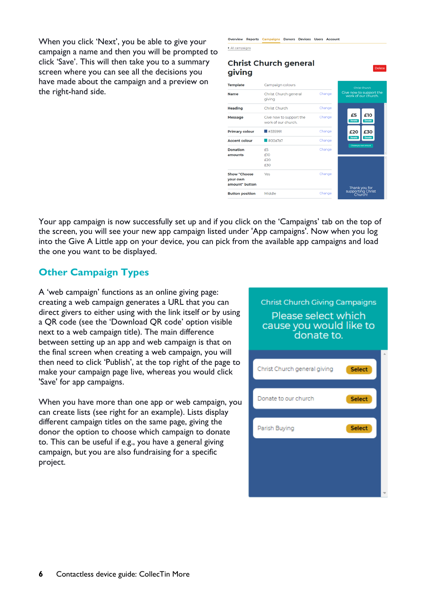When you click 'Next', you be able to give your campaign a name and then you will be prompted to click 'Save'. This will then take you to a summary screen where you can see all the decisions you have made about the campaign and a preview on the right-hand side.

| giving                                            | <b>Christ Church general</b>                   |        | Delete                                         |
|---------------------------------------------------|------------------------------------------------|--------|------------------------------------------------|
| <b>Template</b>                                   | Campaign colours                               |        | Christ Church                                  |
| <b>Name</b>                                       | Christ Church general<br>aivina                | Change | Give now to support the<br>work of our church. |
| <b>Heading</b>                                    | <b>Christ Church</b>                           | Change |                                                |
| <b>Message</b>                                    | Give now to support the<br>work of our church. | Change | £5<br>£10<br>Donate<br><b>Donate</b>           |
| <b>Primary colour</b>                             | #335991                                        | Change | £20<br>£30                                     |
| <b>Accent colour</b>                              | #00a7a7                                        | Change | Donate<br>Donate                               |
| <b>Donation</b><br>amounts                        | F5<br>f10<br>f20<br>£30                        | Change | Choose your own amount                         |
| <b>Show "Choose</b><br>your own<br>amount" button | Yes                                            | Change | Thank you for                                  |
| <b>Button position</b>                            | Middle                                         | Change | supporting Christ<br>Church!                   |
|                                                   |                                                |        |                                                |

Overview Reports Campaigns Donors Devices Users Account

▲ All campaigns

Your app campaign is now successfully set up and if you click on the 'Campaigns' tab on the top of the screen, you will see your new app campaign listed under 'App campaigns'. Now when you log into the Give A Little app on your device, you can pick from the available app campaigns and load the one you want to be displayed.

### **Other Campaign Types**

A 'web campaign' functions as an online giving page: creating a web campaign generates a URL that you can direct givers to either using with the link itself or by using a QR code (see the 'Download QR code' option visible next to a web campaign title). The main difference between setting up an app and web campaign is that on the final screen when creating a web campaign, you will then need to click 'Publish', at the top right of the page to make your campaign page live, whereas you would click 'Save' for app campaigns.

When you have more than one app or web campaign, you can create lists (see right for an example). Lists display different campaign titles on the same page, giving the donor the option to choose which campaign to donate to. This can be useful if e.g., you have a general giving campaign, but you are also fundraising for a specific project.

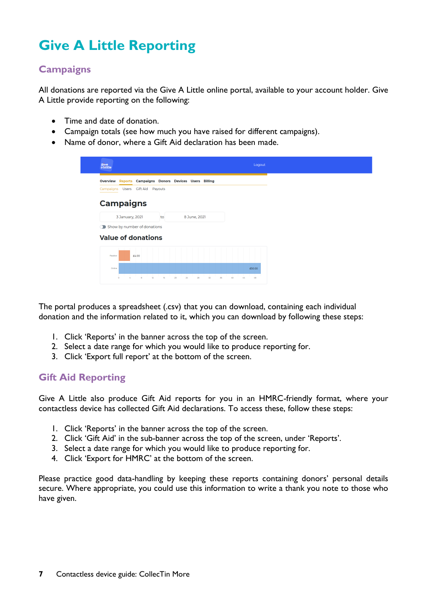# **Give A Little Reporting**

### **Campaigns**

All donations are reported via the Give A Little online portal, available to your account holder. Give A Little provide reporting on the following:

- Time and date of donation.
- Campaign totals (see how much you have raised for different campaigns).
- Name of donor, where a Gift Aid declaration has been made.

| $g_{\text{ive}}$<br>$a$ little                          |                            | Logout         |
|---------------------------------------------------------|----------------------------|----------------|
| Overview Reports Campaigns Donors Devices Users Billing |                            |                |
| Campaigns Users Gift Aid<br>Payouts                     |                            |                |
| <b>Campaigns</b>                                        |                            |                |
| 3 January, 2021<br>to                                   | 8 June, 2021               |                |
| Show by number of donations                             |                            |                |
| <b>Value of donations</b>                               |                            |                |
| £4.00<br>Passbox                                        |                            |                |
| Online                                                  |                            | £50.00         |
| $\frac{1}{8}$<br>12<br>16<br>$\ddot{\mathbf{o}}$<br>z.  | 20<br>36<br>24<br>28<br>32 | 48<br>40<br>44 |

The portal produces a spreadsheet (.csv) that you can download, containing each individual donation and the information related to it, which you can download by following these steps:

- 1. Click 'Reports' in the banner across the top of the screen.
- 2. Select a date range for which you would like to produce reporting for.
- 3. Click 'Export full report' at the bottom of the screen.

### **Gift Aid Reporting**

Give A Little also produce Gift Aid reports for you in an HMRC-friendly format, where your contactless device has collected Gift Aid declarations. To access these, follow these steps:

- 1. Click 'Reports' in the banner across the top of the screen.
- 2. Click 'Gift Aid' in the sub-banner across the top of the screen, under 'Reports'.
- 3. Select a date range for which you would like to produce reporting for.
- 4. Click 'Export for HMRC' at the bottom of the screen.

Please practice good data-handling by keeping these reports containing donors' personal details secure. Where appropriate, you could use this information to write a thank you note to those who have given.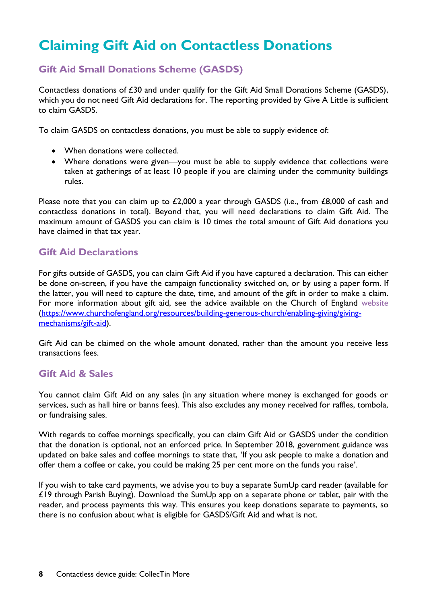# **Claiming Gift Aid on Contactless Donations**

### **Gift Aid Small Donations Scheme (GASDS)**

Contactless donations of £30 and under qualify for the Gift Aid Small Donations Scheme (GASDS), which you do not need Gift Aid declarations for. The reporting provided by Give A Little is sufficient to claim GASDS.

To claim GASDS on contactless donations, you must be able to supply evidence of:

- When donations were collected.
- Where donations were given—you must be able to supply evidence that collections were taken at gatherings of at least 10 people if you are claiming under the community buildings rules.

Please note that you can claim up to £2,000 a year through GASDS (i.e., from £8,000 of cash and contactless donations in total). Beyond that, you will need declarations to claim Gift Aid. The maximum amount of GASDS you can claim is 10 times the total amount of Gift Aid donations you have claimed in that tax year.

### **Gift Aid Declarations**

For gifts outside of GASDS, you can claim Gift Aid if you have captured a declaration. This can either be done on-screen, if you have the campaign functionality switched on, or by using a paper form. If the latter, you will need to capture the date, time, and amount of the gift in order to make a claim. For more information about gift aid, see the advice available on the Church of England [website](https://www.churchofengland.org/resources/building-generous-church/enabling-giving/giving-mechanisms/gift-aid) [\(https://www.churchofengland.org/resources/building-generous-church/enabling-giving/giving](https://www.churchofengland.org/resources/building-generous-church/enabling-giving/giving-mechanisms/gift-aid)[mechanisms/gift-aid\)](https://www.churchofengland.org/resources/building-generous-church/enabling-giving/giving-mechanisms/gift-aid).

Gift Aid can be claimed on the whole amount donated, rather than the amount you receive less transactions fees.

### **Gift Aid & Sales**

You cannot claim Gift Aid on any sales (in any situation where money is exchanged for goods or services, such as hall hire or banns fees). This also excludes any money received for raffles, tombola, or fundraising sales.

With regards to coffee mornings specifically, you can claim Gift Aid or GASDS under the condition that the donation is optional, not an enforced price. In September 2018, government guidance was updated on bake sales and coffee mornings to state that, 'If you ask people to make a donation and offer them a coffee or cake, you could be making 25 per cent more on the funds you raise'.

If you wish to take card payments, we advise you to buy a separate SumUp card reader (available for £19 through Parish Buying). Download the SumUp app on a separate phone or tablet, pair with the reader, and process payments this way. This ensures you keep donations separate to payments, so there is no confusion about what is eligible for GASDS/Gift Aid and what is not.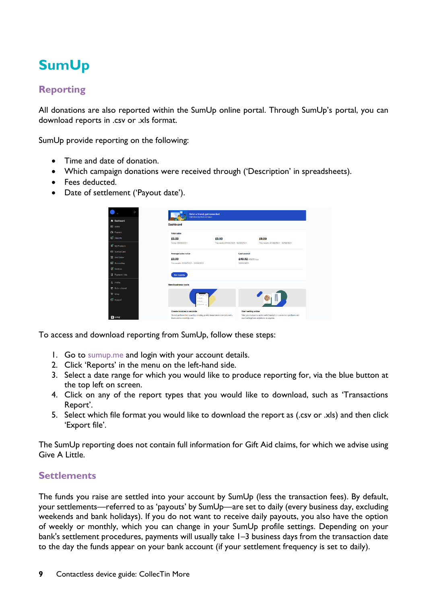# **SumUp**

### **Reporting**

All donations are also reported within the SumUp online portal. Through SumUp's portal, you can download reports in .csv or .xls format.

SumUp provide reporting on the following:

- Time and date of donation.
- Which campaign donations were received through ('Description' in spreadsheets).
- Fees deducted.
- Date of settlement ('Payout date').

| f+                               | Refer a friend, get rewarded<br>Click here to find out more                                          |                                    |                                                                                                           |  |
|----------------------------------|------------------------------------------------------------------------------------------------------|------------------------------------|-----------------------------------------------------------------------------------------------------------|--|
| n Dashboard<br><b>日 Sales</b>    | <b>Dashboard</b>                                                                                     |                                    |                                                                                                           |  |
| <b>CB</b> Payouts                | <b>Total sales</b>                                                                                   |                                    |                                                                                                           |  |
| <b>ED</b> Reports                | £0.00                                                                                                | £0.00                              | £0.00                                                                                                     |  |
| <b>1<sup>9</sup></b> My Products | Today. 08/06/2021                                                                                    | This week. 07/08/2021 - 13/06/2021 | This month, 01/06/2021 - 30/06/2021                                                                       |  |
| SumUp Card                       | Average sales value                                                                                  |                                    | <b>Last payout</b>                                                                                        |  |
| 景 Sell Online                    | £0.00                                                                                                |                                    | £49,02/ F0.98 fees                                                                                        |  |
| Accounting                       | This month, 01/06/2021 - 30/06/2021                                                                  |                                    | 28/05/2021                                                                                                |  |
| <sup>1</sup> Invoices            |                                                                                                      |                                    |                                                                                                           |  |
| Raymont Links                    | See reports                                                                                          |                                    |                                                                                                           |  |
| & Profile                        | <b>New business tools</b>                                                                            |                                    |                                                                                                           |  |
| <sup>6</sup> Refer a friend      |                                                                                                      |                                    |                                                                                                           |  |
| <b>De Shop</b>                   |                                                                                                      |                                    |                                                                                                           |  |
| Support                          | 0 located<br>di sources<br>a territorio                                                              |                                    |                                                                                                           |  |
|                                  | Create involces in seconds                                                                           |                                    | <b>Start selling online</b>                                                                               |  |
| 2 sumup                          | Stand out from the crowd by creating professional invoices in seconds,<br>there are no monthly cost. |                                    | Take your bulsness online with SumUp's e-commerce platform and<br>start selling from anywhere, to anyone. |  |

To access and download reporting from SumUp, follow these steps:

- 1. Go to [sumup.me](http://www.sumup.me/) and login with your account details.
- 2. Click 'Reports' in the menu on the left-hand side.
- 3. Select a date range for which you would like to produce reporting for, via the blue button at the top left on screen.
- 4. Click on any of the report types that you would like to download, such as 'Transactions Report'.
- 5. Select which file format you would like to download the report as (.csv or .xls) and then click 'Export file'.

The SumUp reporting does not contain full information for Gift Aid claims, for which we advise using Give A Little.

### **Settlements**

The funds you raise are settled into your account by SumUp (less the transaction fees). By default, your settlements—referred to as 'payouts' by SumUp—are set to daily (every business day, excluding weekends and bank holidays). If you do not want to receive daily payouts, you also have the option of weekly or monthly, which you can change in your SumUp profile settings. Depending on your bank's settlement procedures, payments will usually take 1–3 business days from the transaction date to the day the funds appear on your bank account (if your settlement frequency is set to daily).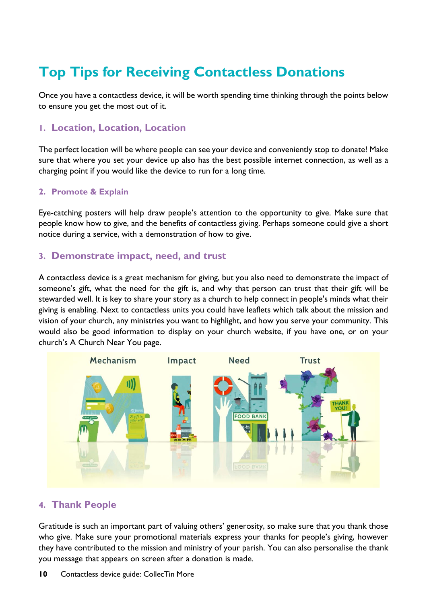# **Top Tips for Receiving Contactless Donations**

Once you have a contactless device, it will be worth spending time thinking through the points below to ensure you get the most out of it.

### **1. Location, Location, Location**

The perfect location will be where people can see your device and conveniently stop to donate! Make sure that where you set your device up also has the best possible internet connection, as well as a charging point if you would like the device to run for a long time.

### **2. Promote & Explain**

Eye-catching posters will help draw people's attention to the opportunity to give. Make sure that people know how to give, and the benefits of contactless giving. Perhaps someone could give a short notice during a service, with a demonstration of how to give.

### **3. Demonstrate impact, need, and trust**

A contactless device is a great mechanism for giving, but you also need to demonstrate the impact of someone's gift, what the need for the gift is, and why that person can trust that their gift will be stewarded well. It is key to share your story as a church to help connect in people's minds what their giving is enabling. Next to contactless units you could have leaflets which talk about the mission and vision of your church, any ministries you want to highlight, and how you serve your community. This would also be good information to display on your church website, if you have one, or on your church's A Church Near You page.



### **4. Thank People**

Gratitude is such an important part of valuing others' generosity, so make sure that you thank those who give. Make sure your promotional materials express your thanks for people's giving, however they have contributed to the mission and ministry of your parish. You can also personalise the thank you message that appears on screen after a donation is made.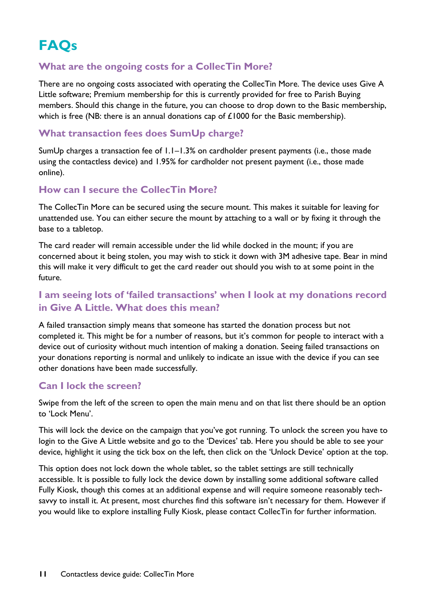# **FAQs**

### **What are the ongoing costs for a CollecTin More?**

There are no ongoing costs associated with operating the CollecTin More. The device uses Give A Little software; Premium membership for this is currently provided for free to Parish Buying members. Should this change in the future, you can choose to drop down to the Basic membership, which is free (NB: there is an annual donations cap of £1000 for the Basic membership).

### **What transaction fees does SumUp charge?**

SumUp charges a transaction fee of 1.1–1.3% on cardholder present payments (i.e., those made using the contactless device) and 1.95% for cardholder not present payment (i.e., those made online).

### **How can I secure the CollecTin More?**

The CollecTin More can be secured using the secure mount. This makes it suitable for leaving for unattended use. You can either secure the mount by attaching to a wall or by fixing it through the base to a tabletop.

The card reader will remain accessible under the lid while docked in the mount; if you are concerned about it being stolen, you may wish to stick it down with 3M adhesive tape. Bear in mind this will make it very difficult to get the card reader out should you wish to at some point in the future.

### **I am seeing lots of 'failed transactions' when I look at my donations record in Give A Little. What does this mean?**

A failed transaction simply means that someone has started the donation process but not completed it. This might be for a number of reasons, but it's common for people to interact with a device out of curiosity without much intention of making a donation. Seeing failed transactions on your donations reporting is normal and unlikely to indicate an issue with the device if you can see other donations have been made successfully.

### **Can I lock the screen?**

Swipe from the left of the screen to open the main menu and on that list there should be an option to 'Lock Menu'.

This will lock the device on the campaign that you've got running. To unlock the screen you have to login to the Give A Little website and go to the 'Devices' tab. Here you should be able to see your device, highlight it using the tick box on the left, then click on the 'Unlock Device' option at the top.

This option does not lock down the whole tablet, so the tablet settings are still technically accessible. It is possible to fully lock the device down by installing some additional software called Fully Kiosk, though this comes at an additional expense and will require someone reasonably techsavvy to install it. At present, most churches find this software isn't necessary for them. However if you would like to explore installing Fully Kiosk, please contact CollecTin for further information.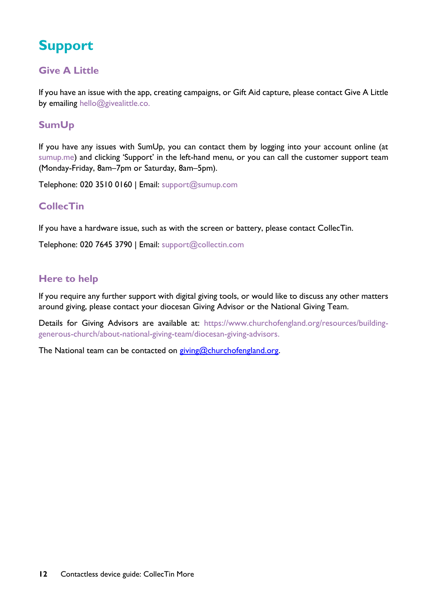# **Support**

### **Give A Little**

If you have an issue with the app, creating campaigns, or Gift Aid capture, please contact Give A Little by emailing [hello@givealittle.co.](mailto:hello@givealittle.co)

### **SumUp**

If you have any issues with SumUp, you can contact them by logging into your account online (at [sumup.me](http://www.sumup.me/)) and clicking 'Support' in the left-hand menu, or you can call the customer support team (Monday-Friday, 8am–7pm or Saturday, 8am–5pm).

Telephone: 020 3510 0160 | Email: [support@sumup.com](mailto:support@sumup.com)

### **CollecTin**

If you have a hardware issue, such as with the screen or battery, please contact CollecTin.

Telephone: 020 7645 3790 | Email: [support@collectin.com](mailto:support@collectin.com)

### **Here to help**

If you require any further support with digital giving tools, or would like to discuss any other matters around giving, please contact your diocesan Giving Advisor or the National Giving Team.

Details for Giving Advisors are available at: [https://www.churchofengland.org/resources/building](https://www.churchofengland.org/resources/building-generous-church/about-national-giving-team/diocesan-giving-advisors)[generous-church/about-national-giving-team/diocesan-giving-advisors.](https://www.churchofengland.org/resources/building-generous-church/about-national-giving-team/diocesan-giving-advisors)

The National team can be contacted on [giving@churchofengland.org.](mailto:giving@churchofengland.org)